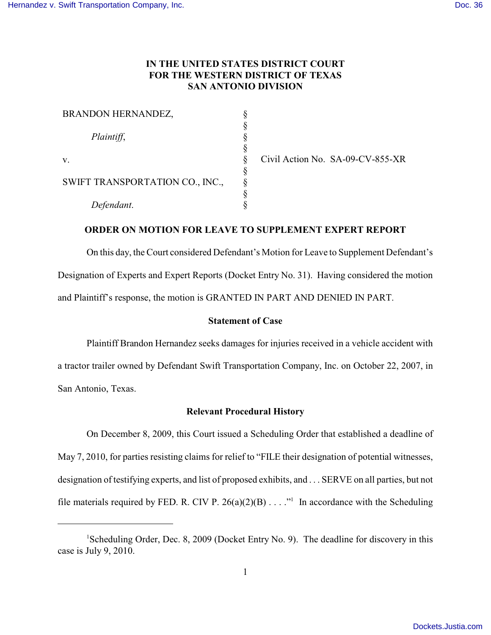# **IN THE UNITED STATES DISTRICT COURT FOR THE WESTERN DISTRICT OF TEXAS SAN ANTONIO DIVISION**

| BRANDON HERNANDEZ,                                  |   |
|-----------------------------------------------------|---|
| Plaintiff,<br>v.<br>SWIFT TRANSPORTATION CO., INC., |   |
|                                                     |   |
|                                                     |   |
|                                                     |   |
|                                                     |   |
|                                                     | 8 |
|                                                     | 8 |
| Defendant.                                          |   |

Civil Action No. SA-09-CV-855-XR

### **ORDER ON MOTION FOR LEAVE TO SUPPLEMENT EXPERT REPORT**

On this day, the Court considered Defendant's Motion for Leave to Supplement Defendant's Designation of Experts and Expert Reports (Docket Entry No. 31). Having considered the motion and Plaintiff's response, the motion is GRANTED IN PART AND DENIED IN PART.

#### **Statement of Case**

Plaintiff Brandon Hernandez seeks damages for injuries received in a vehicle accident with a tractor trailer owned by Defendant Swift Transportation Company, Inc. on October 22, 2007, in San Antonio, Texas.

### **Relevant Procedural History**

On December 8, 2009, this Court issued a Scheduling Order that established a deadline of May 7, 2010, for parties resisting claims for relief to "FILE their designation of potential witnesses, designation of testifying experts, and list of proposed exhibits, and . . . SERVE on all parties, but not file materials required by FED. R. CIV P. 26(a)(2)(B) . . . ."<sup>1</sup> In accordance with the Scheduling

<sup>&</sup>lt;sup>1</sup>Scheduling Order, Dec. 8, 2009 (Docket Entry No. 9). The deadline for discovery in this case is July 9, 2010.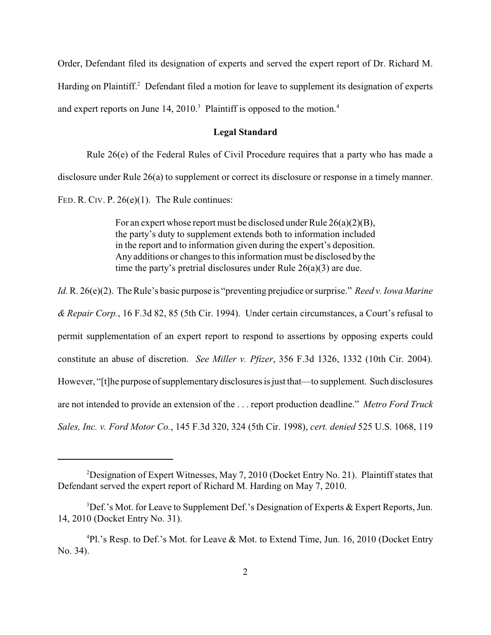Order, Defendant filed its designation of experts and served the expert report of Dr. Richard M. Harding on Plaintiff.<sup>2</sup> Defendant filed a motion for leave to supplement its designation of experts and expert reports on June  $14, 2010$ .<sup>3</sup> Plaintiff is opposed to the motion.<sup>4</sup>

### **Legal Standard**

Rule 26(e) of the Federal Rules of Civil Procedure requires that a party who has made a disclosure under Rule 26(a) to supplement or correct its disclosure or response in a timely manner. FED. R. CIV. P. 26(e)(1). The Rule continues:

> For an expert whose report must be disclosed under Rule 26(a)(2)(B), the party's duty to supplement extends both to information included in the report and to information given during the expert's deposition. Any additions or changes to this information must be disclosed by the time the party's pretrial disclosures under Rule 26(a)(3) are due.

*Id.* R. 26(e)(2). The Rule's basic purpose is "preventing prejudice or surprise." *Reed v. Iowa Marine & Repair Corp.*, 16 F.3d 82, 85 (5th Cir. 1994). Under certain circumstances, a Court's refusal to permit supplementation of an expert report to respond to assertions by opposing experts could constitute an abuse of discretion. *See Miller v. Pfizer*, 356 F.3d 1326, 1332 (10th Cir. 2004). However, "[t]he purpose of supplementary disclosures is just that—to supplement. Such disclosures are not intended to provide an extension of the . . . report production deadline." *Metro Ford Truck Sales, Inc. v. Ford Motor Co.*, 145 F.3d 320, 324 (5th Cir. 1998), *cert. denied* 525 U.S. 1068, 119

<sup>&</sup>lt;sup>2</sup>Designation of Expert Witnesses, May 7, 2010 (Docket Entry No. 21). Plaintiff states that Defendant served the expert report of Richard M. Harding on May 7, 2010.

 ${}^{3}$ Def.'s Mot. for Leave to Supplement Def.'s Designation of Experts & Expert Reports, Jun. 14, 2010 (Docket Entry No. 31).

 $^{4}$ Pl.'s Resp. to Def.'s Mot. for Leave & Mot. to Extend Time, Jun. 16, 2010 (Docket Entry No. 34).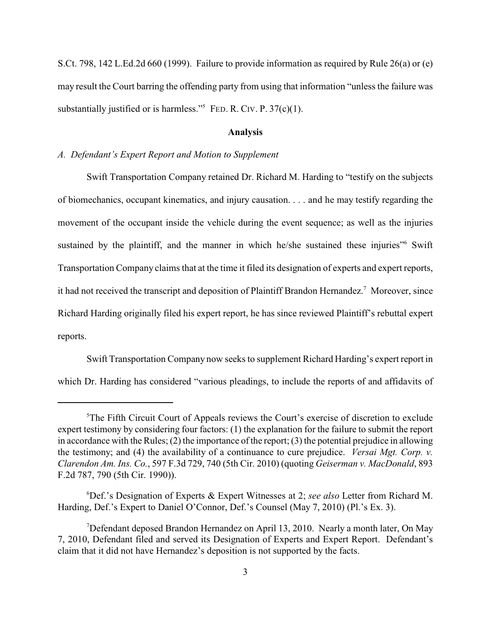S.Ct. 798, 142 L.Ed.2d 660 (1999). Failure to provide information as required by Rule 26(a) or (e) may result the Court barring the offending party from using that information "unless the failure was substantially justified or is harmless."<sup>5</sup> FED. R. CIV. P.  $37(c)(1)$ .

### **Analysis**

## *A. Defendant's Expert Report and Motion to Supplement*

Swift Transportation Company retained Dr. Richard M. Harding to "testify on the subjects of biomechanics, occupant kinematics, and injury causation. . . . and he may testify regarding the movement of the occupant inside the vehicle during the event sequence; as well as the injuries sustained by the plaintiff, and the manner in which he/she sustained these injuries" Swift Transportation Company claims that at the time it filed its designation of experts and expert reports, it had not received the transcript and deposition of Plaintiff Brandon Hernandez.<sup>7</sup> Moreover, since Richard Harding originally filed his expert report, he has since reviewed Plaintiff's rebuttal expert reports.

Swift Transportation Company now seeks to supplement Richard Harding's expert report in which Dr. Harding has considered "various pleadings, to include the reports of and affidavits of

 ${}^5$ The Fifth Circuit Court of Appeals reviews the Court's exercise of discretion to exclude expert testimony by considering four factors: (1) the explanation for the failure to submit the report in accordance with the Rules; (2) the importance of the report; (3) the potential prejudice in allowing the testimony; and (4) the availability of a continuance to cure prejudice. *Versai Mgt. Corp. v. Clarendon Am. Ins. Co.*, 597 F.3d 729, 740 (5th Cir. 2010) (quoting *Geiserman v. MacDonald*, 893 F.2d 787, 790 (5th Cir. 1990)).

Def.'s Designation of Experts & Expert Witnesses at 2; *see also* Letter from Richard M. <sup>6</sup> Harding, Def.'s Expert to Daniel O'Connor, Def.'s Counsel (May 7, 2010) (Pl.'s Ex. 3).

<sup>&</sup>lt;sup>7</sup>Defendant deposed Brandon Hernandez on April 13, 2010. Nearly a month later, On May 7, 2010, Defendant filed and served its Designation of Experts and Expert Report. Defendant's claim that it did not have Hernandez's deposition is not supported by the facts.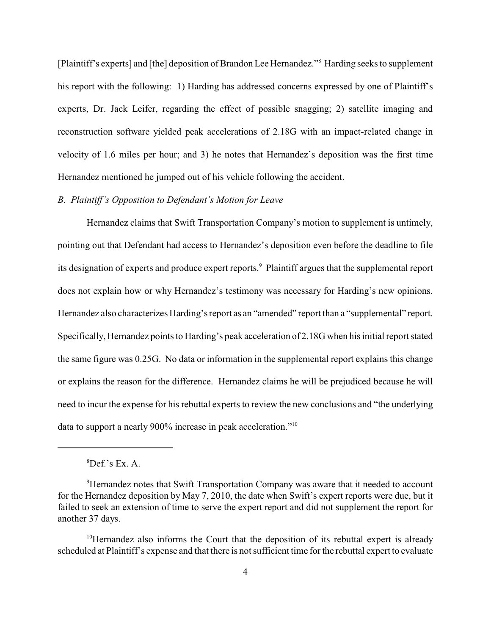[Plaintiff's experts] and [the] deposition of Brandon Lee Hernandez."<sup>8</sup> Harding seeks to supplement his report with the following: 1) Harding has addressed concerns expressed by one of Plaintiff's experts, Dr. Jack Leifer, regarding the effect of possible snagging; 2) satellite imaging and reconstruction software yielded peak accelerations of 2.18G with an impact-related change in velocity of 1.6 miles per hour; and 3) he notes that Hernandez's deposition was the first time Hernandez mentioned he jumped out of his vehicle following the accident.

## *B. Plaintiff's Opposition to Defendant's Motion for Leave*

Hernandez claims that Swift Transportation Company's motion to supplement is untimely, pointing out that Defendant had access to Hernandez's deposition even before the deadline to file its designation of experts and produce expert reports.<sup>9</sup> Plaintiff argues that the supplemental report does not explain how or why Hernandez's testimony was necessary for Harding's new opinions. Hernandez also characterizes Harding's report as an "amended" report than a "supplemental" report. Specifically, Hernandez points to Harding's peak acceleration of 2.18G when his initial report stated the same figure was 0.25G. No data or information in the supplemental report explains this change or explains the reason for the difference. Hernandez claims he will be prejudiced because he will need to incur the expense for his rebuttal experts to review the new conclusions and "the underlying data to support a nearly 900% increase in peak acceleration."10

 ${}^{8}$ Def.'s Ex. A.

<sup>&</sup>lt;sup>9</sup>Hernandez notes that Swift Transportation Company was aware that it needed to account for the Hernandez deposition by May 7, 2010, the date when Swift's expert reports were due, but it failed to seek an extension of time to serve the expert report and did not supplement the report for another 37 days.

 $10$ Hernandez also informs the Court that the deposition of its rebuttal expert is already scheduled at Plaintiff's expense and that there is not sufficient time for the rebuttal expert to evaluate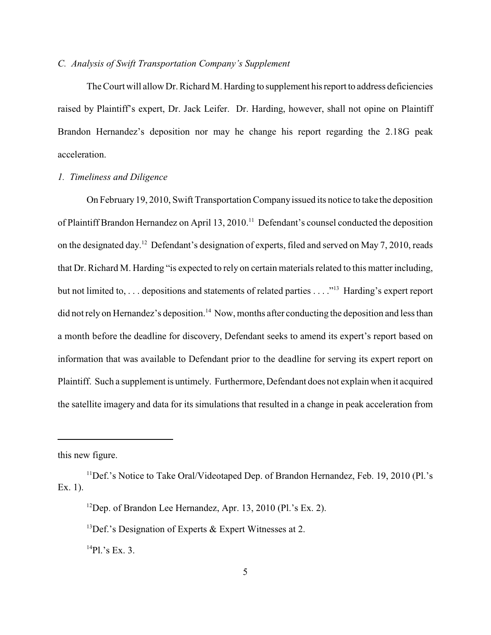#### *C. Analysis of Swift Transportation Company's Supplement*

The Court will allow Dr. Richard M. Harding to supplement his report to address deficiencies raised by Plaintiff's expert, Dr. Jack Leifer. Dr. Harding, however, shall not opine on Plaintiff Brandon Hernandez's deposition nor may he change his report regarding the 2.18G peak acceleration.

## *1. Timeliness and Diligence*

On February 19, 2010, Swift Transportation Company issued its notice to take the deposition of Plaintiff Brandon Hernandez on April 13, 2010.<sup>11</sup> Defendant's counsel conducted the deposition on the designated day.<sup>12</sup> Defendant's designation of experts, filed and served on May 7, 2010, reads that Dr. Richard M. Harding "is expected to rely on certain materials related to this matter including, but not limited to, ... depositions and statements of related parties ...."<sup>13</sup> Harding's expert report did not rely on Hernandez's deposition.<sup>14</sup> Now, months after conducting the deposition and less than a month before the deadline for discovery, Defendant seeks to amend its expert's report based on information that was available to Defendant prior to the deadline for serving its expert report on Plaintiff. Such a supplement is untimely. Furthermore, Defendant does not explain when it acquired the satellite imagery and data for its simulations that resulted in a change in peak acceleration from

this new figure.

 $^{14}$ Pl.'s Ex. 3.

 $^{11}$ Def.'s Notice to Take Oral/Videotaped Dep. of Brandon Hernandez, Feb. 19, 2010 (Pl.'s Ex. 1).

<sup>&</sup>lt;sup>12</sup>Dep. of Brandon Lee Hernandez, Apr. 13, 2010 (Pl.'s Ex. 2).

<sup>&</sup>lt;sup>13</sup>Def.'s Designation of Experts & Expert Witnesses at 2.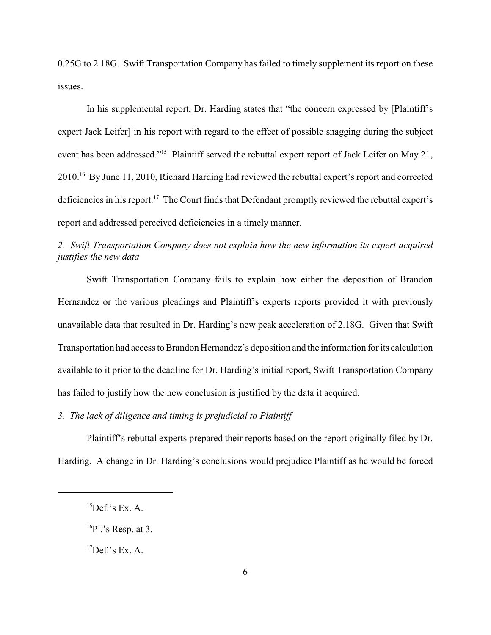0.25G to 2.18G. Swift Transportation Company has failed to timely supplement its report on these issues.

In his supplemental report, Dr. Harding states that "the concern expressed by [Plaintiff's expert Jack Leifer] in his report with regard to the effect of possible snagging during the subject event has been addressed."<sup>15</sup> Plaintiff served the rebuttal expert report of Jack Leifer on May 21, 2010.<sup>16</sup> By June 11, 2010, Richard Harding had reviewed the rebuttal expert's report and corrected deficiencies in his report.<sup>17</sup> The Court finds that Defendant promptly reviewed the rebuttal expert's report and addressed perceived deficiencies in a timely manner.

# *2. Swift Transportation Company does not explain how the new information its expert acquired justifies the new data*

Swift Transportation Company fails to explain how either the deposition of Brandon Hernandez or the various pleadings and Plaintiff's experts reports provided it with previously unavailable data that resulted in Dr. Harding's new peak acceleration of 2.18G. Given that Swift Transportation had access to Brandon Hernandez's deposition and the information for its calculation available to it prior to the deadline for Dr. Harding's initial report, Swift Transportation Company has failed to justify how the new conclusion is justified by the data it acquired.

*3. The lack of diligence and timing is prejudicial to Plaintiff*

Plaintiff's rebuttal experts prepared their reports based on the report originally filed by Dr. Harding. A change in Dr. Harding's conclusions would prejudice Plaintiff as he would be forced

 ${}^{15}$ Def.'s Ex. A.

 $^{16}$ Pl.'s Resp. at 3.

 ${}^{17}$ Def.'s Ex. A.